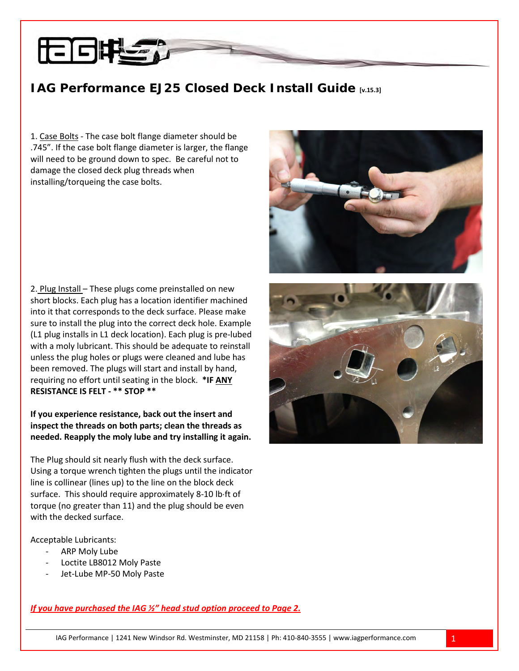## **IAG Performance EJ25 Closed Deck Install Guide [v.15.3]**

1. Case Bolts - The case bolt flange diameter should be .745". If the case bolt flange diameter is larger, the flange will need to be ground down to spec. Be careful not to damage the closed deck plug threads when installing/torqueing the case bolts.

2. Plug Install - These plugs come preinstalled on new short blocks. Each plug has a location identifier machined into it that corresponds to the deck surface. Please make sure to install the plug into the correct deck hole. Example (L1 plug installs in L1 deck location). Each plug is pre-lubed with a moly lubricant. This should be adequate to reinstall unless the plug holes or plugs were cleaned and lube has been removed. The plugs will start and install by hand, requiring no effort until seating in the block. \*IF ANY **RESISTANCE IS FELT - \*\* STOP \*\*** 

**If you experience resistance, back out the insert and inspect the threads on both parts; clean the threads as needed. Reapply the moly lube and try installing it again.**

The Plug should sit nearly flush with the deck surface. Using a torque wrench tighten the plugs until the indicator line is collinear (lines up) to the line on the block deck surface. This should require approximately 8-10 lb⋅ft of torque (no greater than 11) and the plug should be even with the decked surface.

Acceptable Lubricants:

- ARP Moly Lube
- Loctite LB8012 Moly Paste
- Jet-Lube MP-50 Moly Paste

*UIf you have purchased the IAG ½" head stud option proceed to Page 2.* 



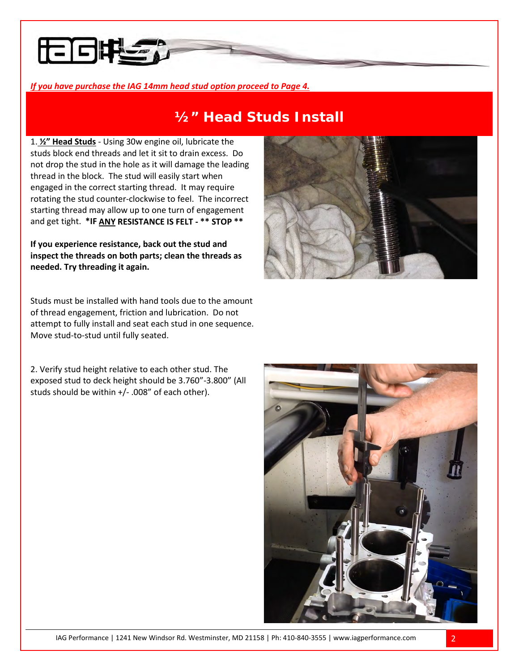

# **½" Head Studs Install**

1. **1. 2<sup>n</sup>** Head Studs - Using 30w engine oil, lubricate the studs block end threads and let it sit to drain excess. Do not drop the stud in the hole as it will damage the leading thread in the block. The stud will easily start when engaged in the correct starting thread. It may require rotating the stud counter-clockwise to feel. The incorrect starting thread may allow up to one turn of engagement and get tight. \*IF ANY RESISTANCE IS FELT - \*\* STOP \*\*

**If you experience resistance, back out the stud and inspect the threads on both parts; clean the threads as needed. Try threading it again.**

Studs must be installed with hand tools due to the amount of thread engagement, friction and lubrication. Do not attempt to fully install and seat each stud in one sequence. Move stud-to-stud until fully seated.

2. Verify stud height relative to each other stud. The exposed stud to deck height should be 3.760"-3.800" (All studs should be within +/- .008" of each other).



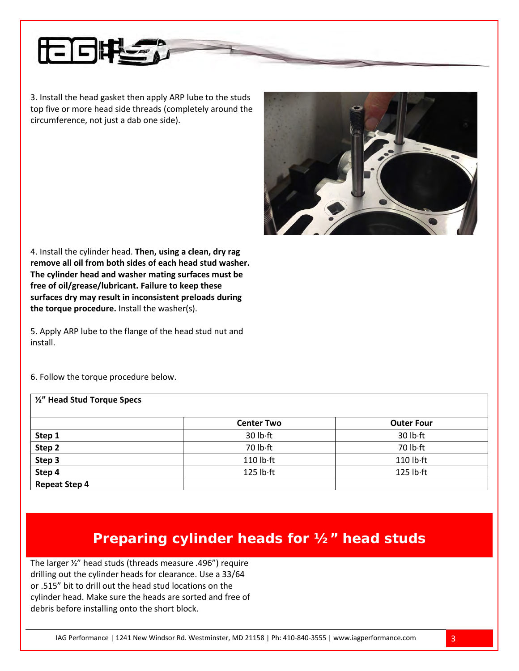

3. Install the head gasket then apply ARP lube to the studs top five or more head side threads (completely around the circumference, not just a dab one side).



4. Install the cylinder head. **Then, using a clean, dry rag remove all oil from both sides of each head stud washer. The cylinder head and washer mating surfaces must be free of oil/grease/lubricant. Failure to keep these surfaces dry may result in inconsistent preloads during the torque procedure.** Install the washer(s).

5. Apply ARP lube to the flange of the head stud nut and install.

6. Follow the torque procedure below.

| 1/2" Head Stud Torque Specs |                     |                     |
|-----------------------------|---------------------|---------------------|
|                             | <b>Center Two</b>   | <b>Outer Four</b>   |
| Step 1                      | 30 lb ft            | 30 lb ft            |
| Step 2                      | 70 lb·ft            | 70 lb·ft            |
| Step 3                      | $110$ lb $\cdot$ ft | $110$ lb $\cdot$ ft |
| Step 4                      | $125$ lb $\cdot$ ft | $125$ lb $\cdot$ ft |
| <b>Repeat Step 4</b>        |                     |                     |

# **Preparing cylinder heads for ½" head studs**

The larger ½" head studs (threads measure .496") require drilling out the cylinder heads for clearance. Use a 33/64 or .515" bit to drill out the head stud locations on the cylinder head. Make sure the heads are sorted and free of debris before installing onto the short block.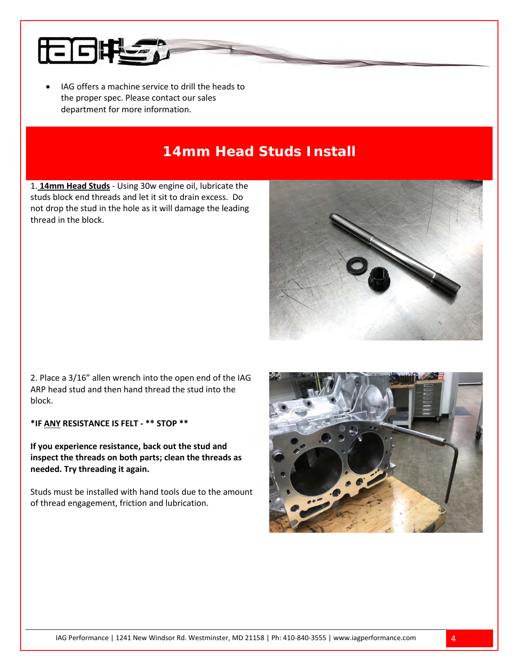

IAG offers a machine service to drill the heads to the proper spec. Please contact our sales department for more information.

# **14mm Head Studs Install**

1. **14mm Head Studs** - Using 30w engine oil, lubricate the studs block end threads and let it sit to drain excess. Do not drop the stud in the hole as it will damage the leading thread in the block.



2. Place a 3/16" allen wrench into the open end of the IAG ARP head stud and then hand thread the stud into the block.

**\*IF** *U***ANY***<sup>U</sup>* **RESISTANCE IS FELT - \*\* STOP \*\*** 

**If you experience resistance, back out the stud and inspect the threads on both parts; clean the threads as needed. Try threading it again.**

Studs must be installed with hand tools due to the amount of thread engagement, friction and lubrication.

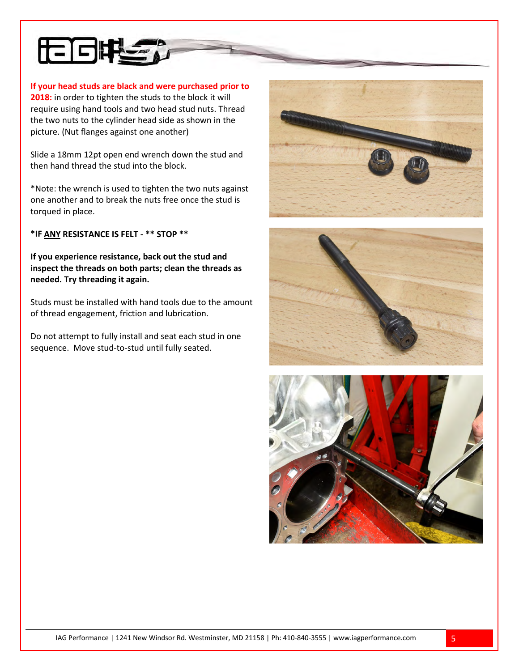

**If your head studs are black and were purchased prior to 2018:** in order to tighten the studs to the block it will require using hand tools and two head stud nuts. Thread the two nuts to the cylinder head side as shown in the picture. (Nut flanges against one another)

Slide a 18mm 12pt open end wrench down the stud and then hand thread the stud into the block.

\*Note: the wrench is used to tighten the two nuts against one another and to break the nuts free once the stud is torqued in place.

**\*IF** *U***ANY***<sup>U</sup>* **RESISTANCE IS FELT - \*\* STOP \*\*** 

**If you experience resistance, back out the stud and inspect the threads on both parts; clean the threads as needed. Try threading it again.**

Studs must be installed with hand tools due to the amount of thread engagement, friction and lubrication.

Do not attempt to fully install and seat each stud in one sequence. Move stud-to-stud until fully seated.





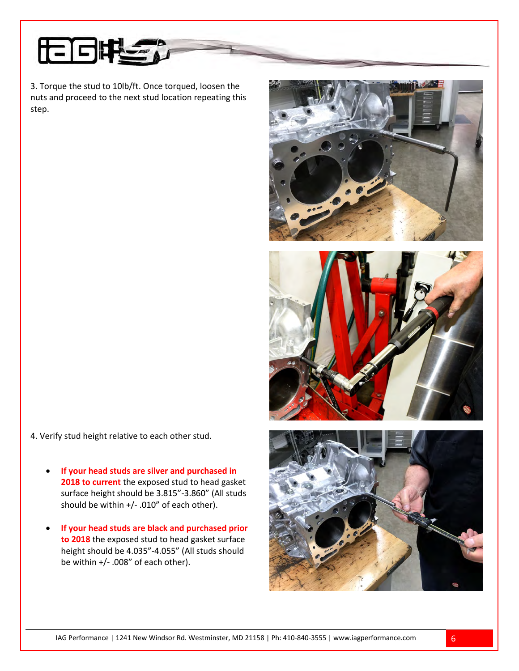

3. Torque the stud to 10lb/ft. Once torqued, loosen the nuts and proceed to the next stud location repeating this step.



- **If your head studs are silver and purchased in 2018 to current** the exposed stud to head gasket surface height should be 3.815"-3.860" (All studs should be within +/- .010" of each other).
- **If your head studs are black and purchased prior to 2018** the exposed stud to head gasket surface height should be 4.035"-4.055" (All studs should be within +/- .008" of each other).





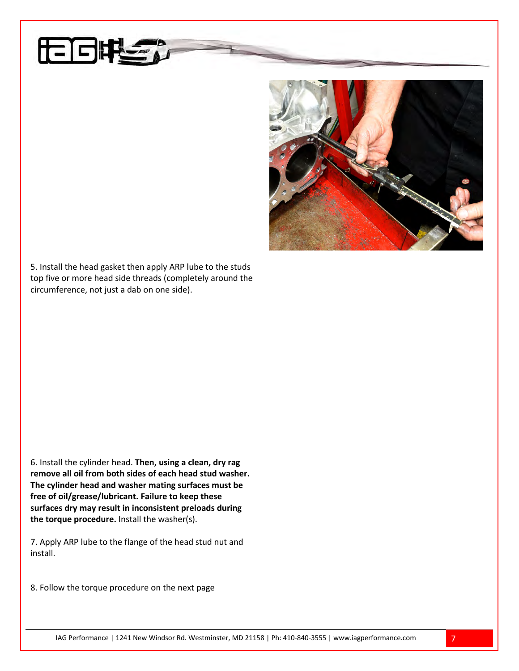

5. Install the head gasket then apply ARP lube to the studs top five or more head side threads (completely around the circumference, not just a dab on one side).

6

6. Install the cylinder head. **Then, using a clean, dry rag remove all oil from both sides of each head stud washer. The cylinder head and washer mating surfaces must be free of oil/grease/lubricant. Failure to keep these surfaces dry may result in inconsistent preloads during the torque procedure.** Install the washer(s).

7. Apply ARP lube to the flange of the head stud nut and install.

8. Follow the torque procedure on the next page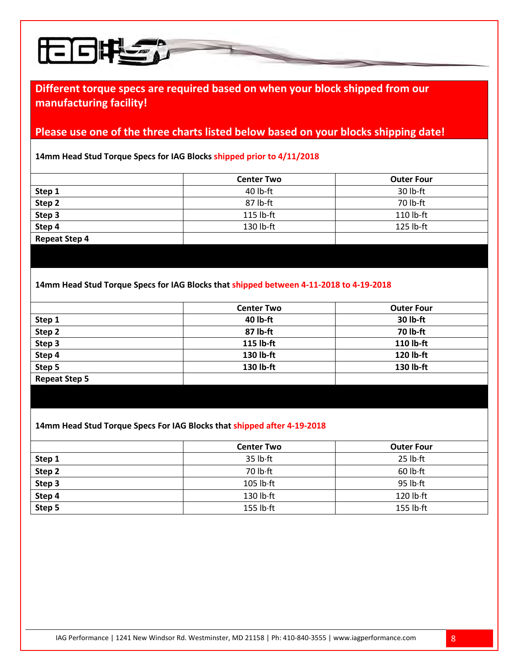

### **Please use one of the three charts listed below based on your blocks shipping date!**

**14mm Head Stud Torque Specs for IAG Blocks shipped prior to 4/11/2018**

H 63

|                      | <b>Center Two</b> | <b>Outer Four</b> |  |
|----------------------|-------------------|-------------------|--|
| Step 1               | $40$ lb-ft        | 30 lb-ft          |  |
| Step 2               | 87 lb-ft          | 70 lb-ft          |  |
| Step 3               | 115 lb-ft         | 110 lb-ft         |  |
| Step 4               | 130 lb-ft         | 125 lb-ft         |  |
| <b>Repeat Step 4</b> |                   |                   |  |
|                      |                   |                   |  |

#### **14mm Head Stud Torque Specs for IAG Blocks that shipped between 4-11-2018 to 4-19-2018**

| 40 lb-ft<br>30 lb-ft   |  |
|------------------------|--|
| 87 lb-ft<br>70 lb-ft   |  |
| 115 lb-ft<br>110 lb-ft |  |
| 130 lb-ft<br>120 lb-ft |  |
| 130 lb-ft<br>130 lb-ft |  |
|                        |  |
|                        |  |

#### **14mm Head Stud Torque Specs For IAG Blocks that shipped after 4-19-2018**

|        | <b>Center Two</b>   | <b>Outer Four</b>   |
|--------|---------------------|---------------------|
| Step 1 | $35$ lb $\cdot$ ft  | 25 lb·ft            |
| Step 2 | 70 lb ft            | $60$ lb $\cdot$ ft  |
| Step 3 | $105$ lb $\cdot$ ft | $95$ lb $\cdot$ ft  |
| Step 4 | $130$ lb $\cdot$ ft | $120$ lb $\cdot$ ft |
| Step 5 | $155$ lb $\cdot$ ft | $155$ lb $\cdot$ ft |